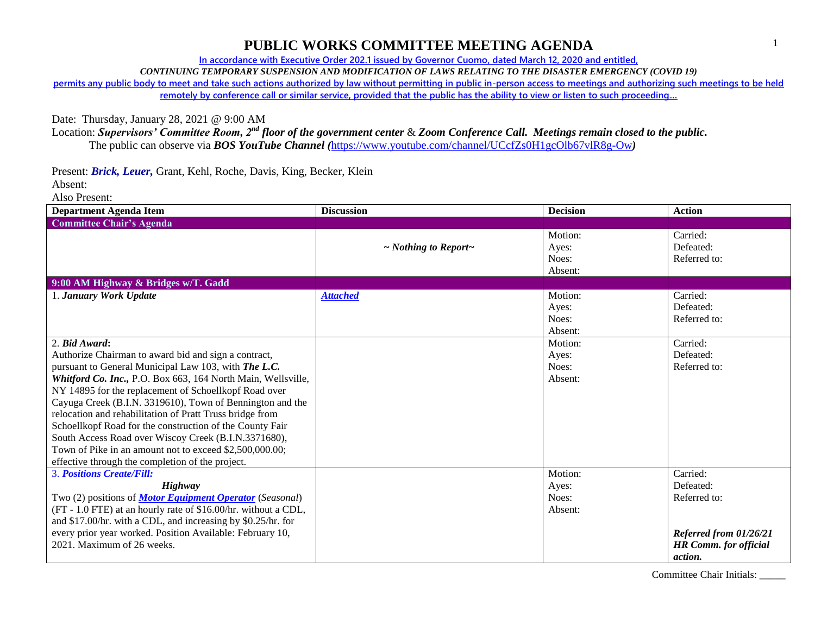**In accordance with Executive Order 202.1 issued by Governor Cuomo, dated March 12, 2020 and entitled,**

*CONTINUING TEMPORARY SUSPENSION AND MODIFICATION OF LAWS RELATING TO THE DISASTER EMERGENCY (COVID 19)*

**permits any public body to meet and take such actions authorized by law without permitting in public in-person access to meetings and authorizing such meetings to be held remotely by conference call or similar service, provided that the public has the ability to view or listen to such proceeding…**

Date: Thursday, January 28, 2021 @ 9:00 AM

Location: *Supervisors' Committee Room, 2nd floor of the government center* & *Zoom Conference Call. Meetings remain closed to the public.* The public can observe via *BOS YouTube Channel (*<https://www.youtube.com/channel/UCcfZs0H1gcOlb67vlR8g-Ow>*)*

Present: *Brick, Leuer,* Grant, Kehl, Roche, Davis, King, Becker, Klein Absent:

Also Present:

| Department Agenda Item                                                                                                                                                                                                                                                                                                                                                                                                                                                                                                                                                                            | <b>Discussion</b>               | <b>Decision</b>                      | <b>Action</b>                                                                                  |
|---------------------------------------------------------------------------------------------------------------------------------------------------------------------------------------------------------------------------------------------------------------------------------------------------------------------------------------------------------------------------------------------------------------------------------------------------------------------------------------------------------------------------------------------------------------------------------------------------|---------------------------------|--------------------------------------|------------------------------------------------------------------------------------------------|
| <b>Committee Chair's Agenda</b>                                                                                                                                                                                                                                                                                                                                                                                                                                                                                                                                                                   |                                 |                                      |                                                                                                |
|                                                                                                                                                                                                                                                                                                                                                                                                                                                                                                                                                                                                   | $\sim$ Nothing to Report $\sim$ | Motion:<br>Ayes:<br>Noes:<br>Absent: | Carried:<br>Defeated:<br>Referred to:                                                          |
| 9:00 AM Highway & Bridges w/T. Gadd                                                                                                                                                                                                                                                                                                                                                                                                                                                                                                                                                               |                                 |                                      |                                                                                                |
| 1. January Work Update                                                                                                                                                                                                                                                                                                                                                                                                                                                                                                                                                                            | <b>Attached</b>                 | Motion:<br>Ayes:<br>Noes:<br>Absent: | Carried:<br>Defeated:<br>Referred to:                                                          |
| 2. Bid Award:                                                                                                                                                                                                                                                                                                                                                                                                                                                                                                                                                                                     |                                 | Motion:                              | Carried:                                                                                       |
| Authorize Chairman to award bid and sign a contract,<br>pursuant to General Municipal Law 103, with The L.C.<br>Whitford Co. Inc., P.O. Box 663, 164 North Main, Wellsville,<br>NY 14895 for the replacement of Schoellkopf Road over<br>Cayuga Creek (B.I.N. 3319610), Town of Bennington and the<br>relocation and rehabilitation of Pratt Truss bridge from<br>Schoellkopf Road for the construction of the County Fair<br>South Access Road over Wiscoy Creek (B.I.N.3371680),<br>Town of Pike in an amount not to exceed \$2,500,000.00;<br>effective through the completion of the project. |                                 | Ayes:<br>Noes:<br>Absent:            | Defeated:<br>Referred to:                                                                      |
| <b>3. Positions Create/Fill:</b>                                                                                                                                                                                                                                                                                                                                                                                                                                                                                                                                                                  |                                 | Motion:                              | Carried:                                                                                       |
| Highway<br>Two (2) positions of <b>Motor Equipment Operator</b> (Seasonal)<br>(FT - 1.0 FTE) at an hourly rate of \$16.00/hr. without a CDL,<br>and \$17.00/hr. with a CDL, and increasing by \$0.25/hr. for<br>every prior year worked. Position Available: February 10,<br>2021. Maximum of 26 weeks.                                                                                                                                                                                                                                                                                           |                                 | Ayes:<br>Noes:<br>Absent:            | Defeated:<br>Referred to:<br>Referred from 01/26/21<br><b>HR Comm. for official</b><br>action. |

Committee Chair Initials: \_\_\_\_\_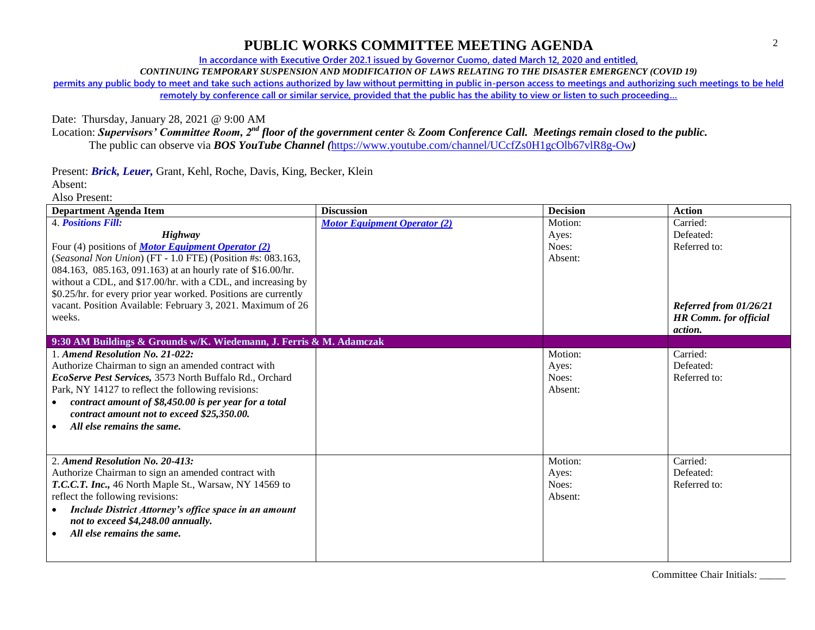**In accordance with Executive Order 202.1 issued by Governor Cuomo, dated March 12, 2020 and entitled,**

*CONTINUING TEMPORARY SUSPENSION AND MODIFICATION OF LAWS RELATING TO THE DISASTER EMERGENCY (COVID 19)*

**permits any public body to meet and take such actions authorized by law without permitting in public in-person access to meetings and authorizing such meetings to be held** 

**remotely by conference call or similar service, provided that the public has the ability to view or listen to such proceeding…**

Date: Thursday, January 28, 2021 @ 9:00 AM

Location: *Supervisors' Committee Room, 2nd floor of the government center* & *Zoom Conference Call. Meetings remain closed to the public.* The public can observe via *BOS YouTube Channel (*<https://www.youtube.com/channel/UCcfZs0H1gcOlb67vlR8g-Ow>*)*

Present: *Brick, Leuer,* Grant, Kehl, Roche, Davis, King, Becker, Klein

Absent:

Also Present:

| <b>Department Agenda Item</b>                                       | <b>Discussion</b>                   | <b>Decision</b> | <b>Action</b>                |
|---------------------------------------------------------------------|-------------------------------------|-----------------|------------------------------|
| <b>4. Positions Fill:</b>                                           | <b>Motor Equipment Operator (2)</b> | Motion:         | Carried:                     |
| Highway                                                             |                                     | Ayes:           | Defeated:                    |
| Four (4) positions of <b>Motor Equipment Operator</b> (2)           |                                     | Noes:           | Referred to:                 |
| (Seasonal Non Union) (FT - 1.0 FTE) (Position #s: 083.163,          |                                     | Absent:         |                              |
| 084.163, 085.163, 091.163) at an hourly rate of \$16.00/hr.         |                                     |                 |                              |
| without a CDL, and \$17.00/hr. with a CDL, and increasing by        |                                     |                 |                              |
| \$0.25/hr. for every prior year worked. Positions are currently     |                                     |                 |                              |
| vacant. Position Available: February 3, 2021. Maximum of 26         |                                     |                 | Referred from 01/26/21       |
| weeks.                                                              |                                     |                 | <b>HR Comm. for official</b> |
|                                                                     |                                     |                 | action.                      |
| 9:30 AM Buildings & Grounds w/K. Wiedemann, J. Ferris & M. Adamczak |                                     |                 |                              |
| 1. Amend Resolution No. 21-022:                                     |                                     | Motion:         | Carried:                     |
| Authorize Chairman to sign an amended contract with                 |                                     | Ayes:           | Defeated:                    |
| EcoServe Pest Services, 3573 North Buffalo Rd., Orchard             |                                     | Noes:           | Referred to:                 |
| Park, NY 14127 to reflect the following revisions:                  |                                     | Absent:         |                              |
| contract amount of \$8,450.00 is per year for a total<br>$\bullet$  |                                     |                 |                              |
| contract amount not to exceed \$25,350.00.                          |                                     |                 |                              |
| All else remains the same.                                          |                                     |                 |                              |
|                                                                     |                                     |                 |                              |
|                                                                     |                                     |                 |                              |
| 2. Amend Resolution No. 20-413:                                     |                                     | Motion:         | Carried:                     |
| Authorize Chairman to sign an amended contract with                 |                                     | Ayes:           | Defeated:                    |
| T.C.C.T. Inc., 46 North Maple St., Warsaw, NY 14569 to              |                                     | Noes:           | Referred to:                 |
| reflect the following revisions:                                    |                                     | Absent:         |                              |
| Include District Attorney's office space in an amount<br>$\bullet$  |                                     |                 |                              |
| not to exceed \$4,248.00 annually.                                  |                                     |                 |                              |
| All else remains the same.                                          |                                     |                 |                              |
|                                                                     |                                     |                 |                              |
|                                                                     |                                     |                 |                              |

Committee Chair Initials: \_\_\_\_\_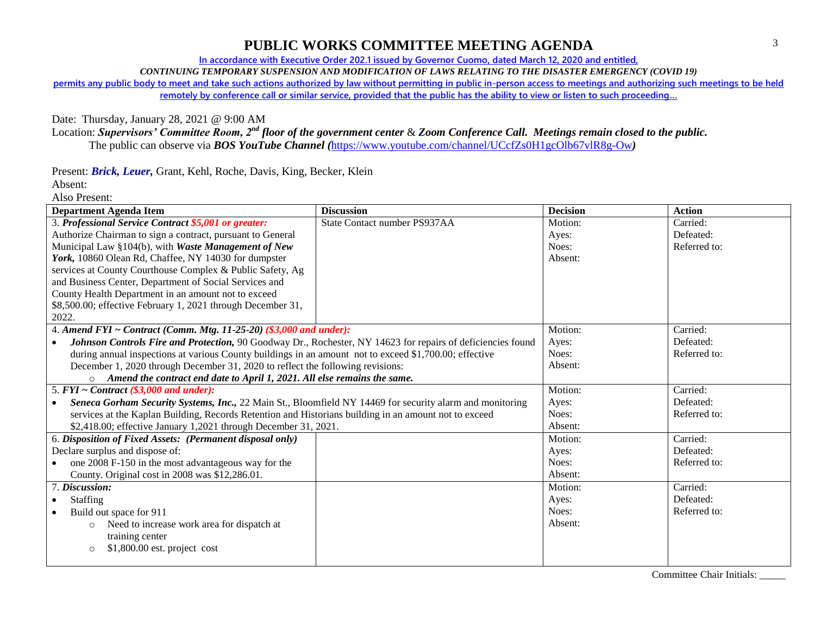**In accordance with Executive Order 202.1 issued by Governor Cuomo, dated March 12, 2020 and entitled,**

*CONTINUING TEMPORARY SUSPENSION AND MODIFICATION OF LAWS RELATING TO THE DISASTER EMERGENCY (COVID 19)*

**permits any public body to meet and take such actions authorized by law without permitting in public in-person access to meetings and authorizing such meetings to be held** 

**remotely by conference call or similar service, provided that the public has the ability to view or listen to such proceeding…**

Date: Thursday, January 28, 2021 @ 9:00 AM

Location: *Supervisors' Committee Room, 2nd floor of the government center* & *Zoom Conference Call. Meetings remain closed to the public.* The public can observe via *BOS YouTube Channel (*<https://www.youtube.com/channel/UCcfZs0H1gcOlb67vlR8g-Ow>*)*

Present: *Brick, Leuer,* Grant, Kehl, Roche, Davis, King, Becker, Klein

Absent: Also Present:

| Department Agenda Item                                                                                                | <b>Discussion</b>            | <b>Decision</b> | <b>Action</b> |
|-----------------------------------------------------------------------------------------------------------------------|------------------------------|-----------------|---------------|
| 3. Professional Service Contract \$5,001 or greater:                                                                  | State Contact number PS937AA | Motion:         | Carried:      |
| Authorize Chairman to sign a contract, pursuant to General                                                            |                              | Ayes:           | Defeated:     |
| Municipal Law §104(b), with Waste Management of New                                                                   |                              | Noes:           | Referred to:  |
| York, 10860 Olean Rd, Chaffee, NY 14030 for dumpster                                                                  |                              | Absent:         |               |
| services at County Courthouse Complex & Public Safety, Ag                                                             |                              |                 |               |
| and Business Center, Department of Social Services and                                                                |                              |                 |               |
| County Health Department in an amount not to exceed                                                                   |                              |                 |               |
| \$8,500.00; effective February 1, 2021 through December 31,                                                           |                              |                 |               |
| 2022.                                                                                                                 |                              |                 |               |
| 4. Amend FYI ~ Contract (Comm. Mtg. 11-25-20) $(\$3,000$ and under):                                                  |                              | Motion:         | Carried:      |
| Johnson Controls Fire and Protection, 90 Goodway Dr., Rochester, NY 14623 for repairs of deficiencies found           |                              | Ayes:           | Defeated:     |
| during annual inspections at various County buildings in an amount not to exceed \$1,700.00; effective                |                              | Noes:           | Referred to:  |
| December 1, 2020 through December 31, 2020 to reflect the following revisions:                                        |                              | Absent:         |               |
| Amend the contract end date to April 1, 2021. All else remains the same.<br>$\circ$                                   |                              |                 |               |
| 5. $FYI \sim Contract$ (\$3,000 and under):                                                                           |                              | Motion:         | Carried:      |
| Seneca Gorham Security Systems, Inc., 22 Main St., Bloomfield NY 14469 for security alarm and monitoring<br>$\bullet$ |                              | Ayes:           | Defeated:     |
| services at the Kaplan Building, Records Retention and Historians building in an amount not to exceed                 |                              | Noes:           | Referred to:  |
| \$2,418.00; effective January 1,2021 through December 31, 2021.                                                       |                              | Absent:         |               |
| 6. Disposition of Fixed Assets: (Permanent disposal only)                                                             |                              | Motion:         | Carried:      |
| Declare surplus and dispose of:                                                                                       |                              | Ayes:           | Defeated:     |
| one 2008 F-150 in the most advantageous way for the                                                                   |                              | Noes:           | Referred to:  |
| County. Original cost in 2008 was \$12,286.01.                                                                        |                              | Absent:         |               |
| 7. Discussion:                                                                                                        |                              | Motion:         | Carried:      |
| Staffing<br>$\bullet$                                                                                                 |                              | Ayes:           | Defeated:     |
| Build out space for 911                                                                                               |                              | Noes:           | Referred to:  |
| Need to increase work area for dispatch at<br>$\circ$                                                                 |                              | Absent:         |               |
| training center                                                                                                       |                              |                 |               |
| $$1,800.00$ est. project cost<br>$\circ$                                                                              |                              |                 |               |
|                                                                                                                       |                              |                 |               |

Committee Chair Initials: \_\_\_\_\_